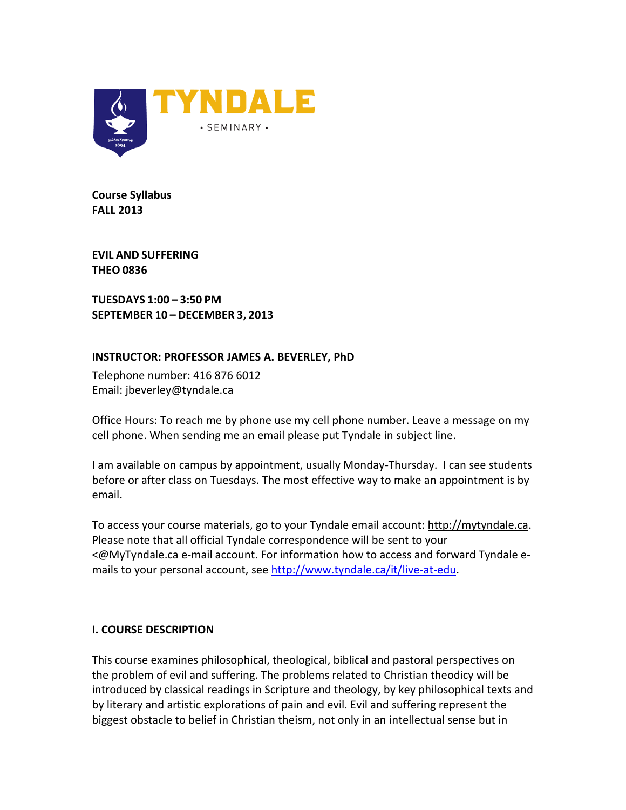

**Course Syllabus FALL 2013**

**EVIL AND SUFFERING THEO 0836**

**TUESDAYS 1:00 – 3:50 PM SEPTEMBER 10 – DECEMBER 3, 2013**

# **INSTRUCTOR: PROFESSOR JAMES A. BEVERLEY, PhD**

Telephone number: 416 876 6012 Email: jbeverley@tyndale.ca

Office Hours: To reach me by phone use my cell phone number. Leave a message on my cell phone. When sending me an email please put Tyndale in subject line.

I am available on campus by appointment, usually Monday-Thursday. I can see students before or after class on Tuesdays. The most effective way to make an appointment is by email.

To access your course materials, go to your Tyndale email account: [http://mytyndale.ca.](http://mytyndale.ca/) Please note that all official Tyndale correspondence will be sent to your <@MyTyndale.ca e-mail account. For information how to access and forward Tyndale emails to your personal account, see [http://www.tyndale.ca/it/live-at-edu.](http://www.tyndale.ca/it/live-at-edu)

# **I. COURSE DESCRIPTION**

This course examines philosophical, theological, biblical and pastoral perspectives on the problem of evil and suffering. The problems related to Christian theodicy will be introduced by classical readings in Scripture and theology, by key philosophical texts and by literary and artistic explorations of pain and evil. Evil and suffering represent the biggest obstacle to belief in Christian theism, not only in an intellectual sense but in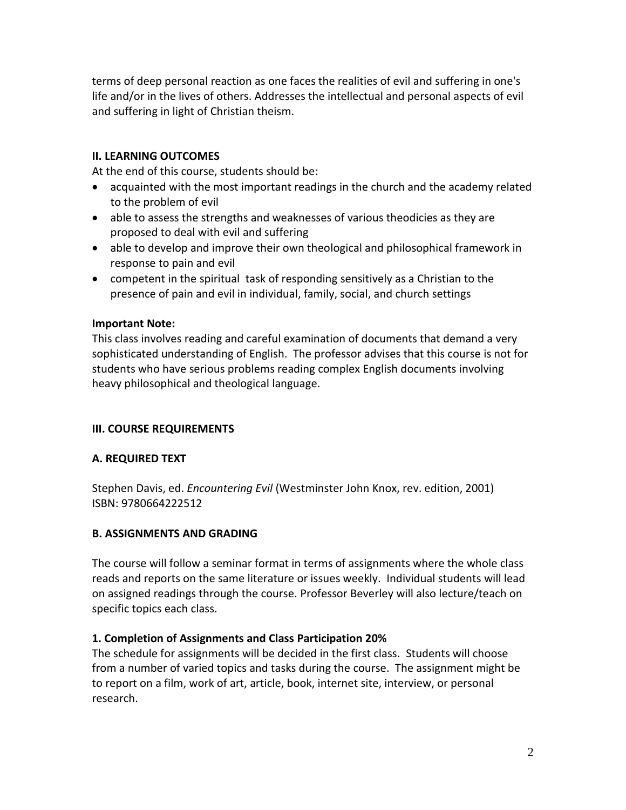terms of deep personal reaction as one faces the realities of evil and suffering in one's life and/or in the lives of others. Addresses the intellectual and personal aspects of evil and suffering in light of Christian theism.

# **II. LEARNING OUTCOMES**

At the end of this course, students should be:

- acquainted with the most important readings in the church and the academy related to the problem of evil
- able to assess the strengths and weaknesses of various theodicies as they are proposed to deal with evil and suffering
- able to develop and improve their own theological and philosophical framework in response to pain and evil
- competent in the spiritual task of responding sensitively as a Christian to the presence of pain and evil in individual, family, social, and church settings

#### **Important Note:**

This class involves reading and careful examination of documents that demand a very sophisticated understanding of English. The professor advises that this course is not for students who have serious problems reading complex English documents involving heavy philosophical and theological language.

# **III. COURSE REQUIREMENTS**

# **A. REQUIRED TEXT**

Stephen Davis, ed. *Encountering Evil* (Westminster John Knox, rev. edition, 2001) ISBN: 9780664222512

# **B. ASSIGNMENTS AND GRADING**

The course will follow a seminar format in terms of assignments where the whole class reads and reports on the same literature or issues weekly. Individual students will lead on assigned readings through the course. Professor Beverley will also lecture/teach on specific topics each class.

# **1. Completion of Assignments and Class Participation 20%**

The schedule for assignments will be decided in the first class. Students will choose from a number of varied topics and tasks during the course. The assignment might be to report on a film, work of art, article, book, internet site, interview, or personal research.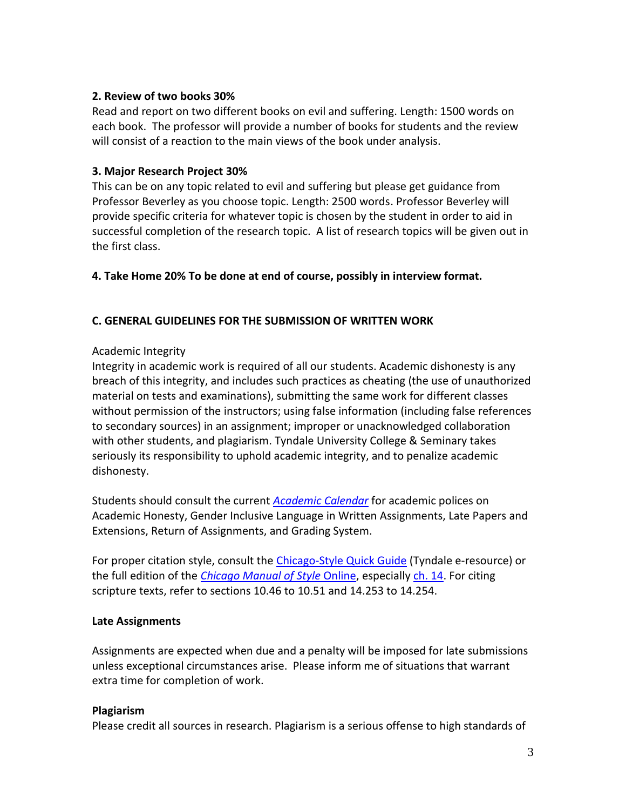#### **2. Review of two books 30%**

Read and report on two different books on evil and suffering. Length: 1500 words on each book. The professor will provide a number of books for students and the review will consist of a reaction to the main views of the book under analysis.

# **3. Major Research Project 30%**

This can be on any topic related to evil and suffering but please get guidance from Professor Beverley as you choose topic. Length: 2500 words. Professor Beverley will provide specific criteria for whatever topic is chosen by the student in order to aid in successful completion of the research topic. A list of research topics will be given out in the first class.

**4. Take Home 20% To be done at end of course, possibly in interview format.**

# **C. GENERAL GUIDELINES FOR THE SUBMISSION OF WRITTEN WORK**

# Academic Integrity

Integrity in academic work is required of all our students. Academic dishonesty is any breach of this integrity, and includes such practices as cheating (the use of unauthorized material on tests and examinations), submitting the same work for different classes without permission of the instructors; using false information (including false references to secondary sources) in an assignment; improper or unacknowledged collaboration with other students, and plagiarism. Tyndale University College & Seminary takes seriously its responsibility to uphold academic integrity, and to penalize academic dishonesty.

Students should consult the current *[Academic Calendar](http://www.tyndale.ca/registrar/calendar)* for academic polices on Academic Honesty, Gender Inclusive Language in Written Assignments, Late Papers and Extensions, Return of Assignments, and Grading System.

For proper citation style, consult the [Chicago-Style Quick Guide](http://ezproxy.mytyndale.ca:2048/login?url=http://www.chicagomanualofstyle.org.ezproxy.mytyndale.ca:2048/tools_citationguide.html) (Tyndale e-resource) or the full edition of the *[Chicago Manual of Style](http://ezproxy.mytyndale.ca:2048/login?url=http://www.chicagomanualofstyle.org.ezproxy.mytyndale.ca:2048/16/contents.html)* Online, especially [ch. 14.](http://ezproxy.mytyndale.ca:2048/login?url=http://www.chicagomanualofstyle.org.ezproxy.mytyndale.ca:2048/16/ch14/ch14_toc.html) For citing scripture texts, refer to sections 10.46 to 10.51 and 14.253 to 14.254.

#### **Late Assignments**

Assignments are expected when due and a penalty will be imposed for late submissions unless exceptional circumstances arise. Please inform me of situations that warrant extra time for completion of work.

#### **Plagiarism**

Please credit all sources in research. Plagiarism is a serious offense to high standards of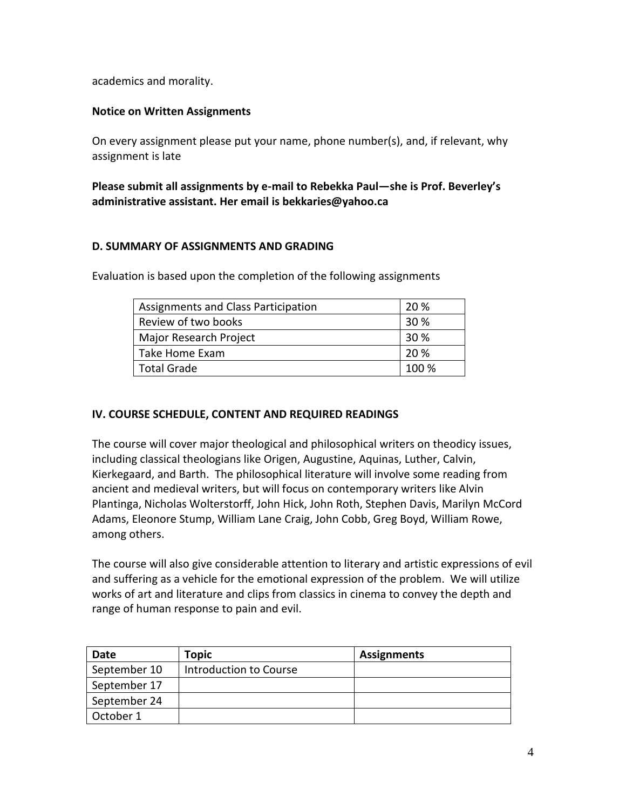academics and morality.

#### **Notice on Written Assignments**

On every assignment please put your name, phone number(s), and, if relevant, why assignment is late

**Please submit all assignments by e-mail to Rebekka Paul—she is Prof. Beverley's administrative assistant. Her email is bekkaries@yahoo.ca**

#### **D. SUMMARY OF ASSIGNMENTS AND GRADING**

Evaluation is based upon the completion of the following assignments

| Assignments and Class Participation | 20 %  |
|-------------------------------------|-------|
| Review of two books                 | 30 %  |
| Major Research Project              | 30 %  |
| Take Home Exam                      | 20 %  |
| l Total Grade                       | 100 % |

# **IV. COURSE SCHEDULE, CONTENT AND REQUIRED READINGS**

The course will cover major theological and philosophical writers on theodicy issues, including classical theologians like Origen, Augustine, Aquinas, Luther, Calvin, Kierkegaard, and Barth. The philosophical literature will involve some reading from ancient and medieval writers, but will focus on contemporary writers like Alvin Plantinga, Nicholas Wolterstorff, John Hick, John Roth, Stephen Davis, Marilyn McCord Adams, Eleonore Stump, William Lane Craig, John Cobb, Greg Boyd, William Rowe, among others.

The course will also give considerable attention to literary and artistic expressions of evil and suffering as a vehicle for the emotional expression of the problem. We will utilize works of art and literature and clips from classics in cinema to convey the depth and range of human response to pain and evil.

| Date         | Topic                  | <b>Assignments</b> |
|--------------|------------------------|--------------------|
| September 10 | Introduction to Course |                    |
| September 17 |                        |                    |
| September 24 |                        |                    |
| October 1    |                        |                    |